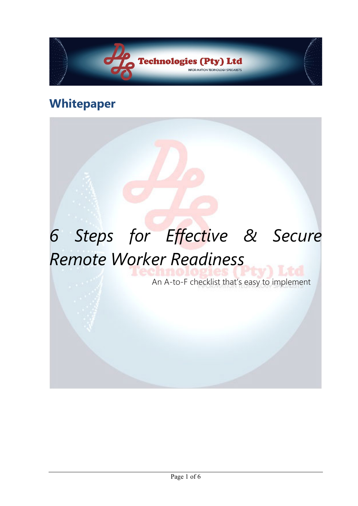

# **Whitepaper**

# *6 Steps for Effective & Secure Remote Worker Readiness*

An A-to-F checklist that's easy to implement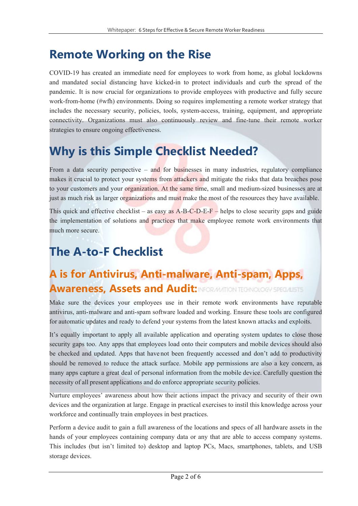# **Remote Working on the Rise**

COVID-19 has created an immediate need for employees to work from home, as global lockdowns and mandated social distancing have kicked-in to protect individuals and curb the spread of the pandemic. It is now crucial for organizations to provide employees with productive and fully secure work-from-home (#wfh) environments. Doing so requires implementing a remote worker strategy that includes the necessary security, policies, tools, system-access, training, equipment, and appropriate connectivity. Organizations must also continuously review and fine-tune their remote worker strategies to ensure ongoing effectiveness.

# **Why is this Simple Checklist Needed?**

From a data security perspective – and for businesses in many industries, regulatory compliance makes it crucial to protect your systems from attackers and mitigate the risks that data breaches pose to your customers and your organization. At the same time, small and medium-sized businesses are at just as much risk as larger organizations and must make the most of the resources they have available.

This quick and effective checklist – as easy as  $A-B-C-D-E-F$  – helps to close security gaps and guide the implementation of solutions and practices that make employee remote work environments that much more secure.

# **The A-to-F Checklist**

### **A is for Antivirus, Anti-malware, Anti-spam, Apps, Awareness, Assets and Audit: INFORMATION TEGNOLOGY SPECIALISTS**

Make sure the devices your employees use in their remote work environments have reputable antivirus, anti- malware and anti-spam software loaded and working. Ensure these tools are configured for automatic updates and ready to defend your systems from the latest known attacks and exploits.

It's equally important to apply all available application and operating system updates to close those security gaps too. Any apps that employees load onto their computers and mobile devices should also be checked and updated. Apps that have not been frequently accessed and don't add to productivity should be removed to reduce the attack surface. Mobile app permissions are also a key concern, as many apps capture a great deal of personal information from the mobile device. Carefully question the necessity of all present applications and do enforce appropriate security policies.

Nurture employees' awareness about how their actions impact the privacy and security of their own devices and the organization at large. Engage in practical exercises to instil this knowledge across your workforce and continually train employees in best practices.

Perform a device audit to gain a full awareness of the locations and specs of all hardware assets in the hands of your employees containing company data or any that are able to access company systems. This includes (but isn't limited to) desktop and laptop PCs, Macs, smartphones, tablets, and USB storage devices.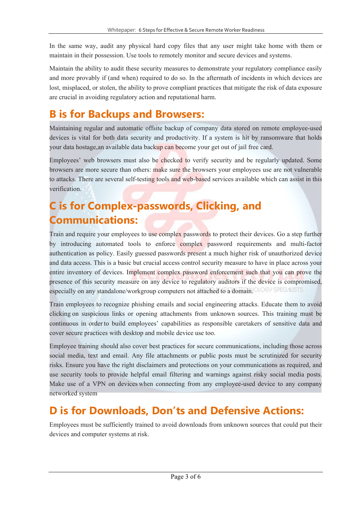In the same way, audit any physical hard copy files that any user might take home with them or maintain in their possession. Use tools to remotely monitor and secure devices and systems.

Maintain the ability to audit these security measures to demonstrate your regulatory compliance easily and more provably if (and when) required to do so. In the aftermath of incidents in which devices are lost, misplaced, or stolen, the ability to prove compliant practices that mitigate the risk of data exposure are crucial in avoiding regulatory action and reputational harm.

#### **B is for Backups and Browsers:**

Maintaining regular and automatic offsite backup of company data stored on remote employee-used devices is vital for both data security and productivity. If a system is hit by ransomware that holds your data hostage, an available data backup can become your get out of jail free card.

Employees' web browsers must also be checked to verify security and be regularly updated. Some browsers are more secure than others: make sure the browsers your employees use are not vulnerable to attacks. There are several self-testing tools and web-based services available which can assist in this verification.

### **C is for Complex-passwords, Clicking, and Communications:**

Train and require your employees to use complex passwords to protect their devices. Go a step further by introducing automated tools to enforce complex password requirements and multi-factor authentication as policy. Easily guessed passwords present a much higher risk of unauthorized device and data access. This is a basic but crucial access control security measure to have in place across your entire inventory of devices. Implement complex password enforcement such that you can prove the presence of this security measure on any device to regulatory auditors if the device is compromised, especially on any standalone/workgroup computers not attached to a domain. CLOGY SPECIALLY

Train employees to recognize phishing emails and social engineering attacks. Educate them to avoid clicking on suspicious links or opening attachments from unknown sources. This training must be continuous in order to build employees' capabilities as responsible caretakers of sensitive data and cover secure practices with desktop and mobile device use too.

Employee training should also cover best practices for secure communications, including those across social media, text and email. Any file attachments or public posts must be scrutinized for security risks. Ensure you have the right disclaimers and protections on your communications as required, and use security tools to provide helpful email filtering and warnings against risky social media posts. Make use of a VPN on devices when connecting from any employee-used device to any company networked system

#### **D is for Downloads, Don'ts and Defensive Actions:**

Employees must be sufficiently trained to avoid downloads from unknown sources that could put their devices and computer systems at risk.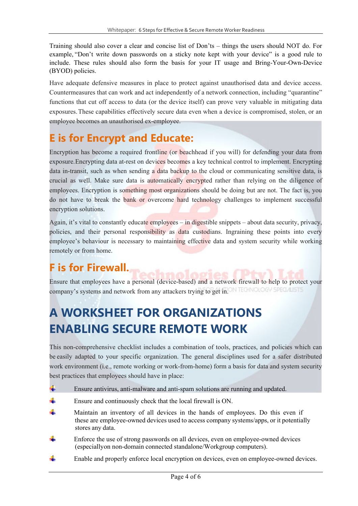Training should also cover a clear and concise list of Don'ts – things the users should NOT do. For example, "Don't write down passwords on a sticky note kept with your device" is a good rule to include. These rules should also form the basis for your IT usage and Bring-Your-Own-Device (BYOD) policies.

Have adequate defensive measures in place to protect against unauthorised data and device access. Countermeasures that can work and act independently of a network connection, including "quarantine" functions that cut off access to data (or the device itself) can prove very valuable in mitigating data exposures. These capabilities effectively secure data even when a device is compromised, stolen, or an employee becomes an unauthorised ex-employee.

#### **E is for Encrypt and Educate:**

Encryption has become a required frontline (or beachhead if you will) for defending your data from exposure. Encrypting data at-rest on devices becomes a key technical control to implement. Encrypting data in-transit, such as when sending a data backup to the cloud or communicating sensitive data, is crucial as well. Make sure data is automatically encrypted rather than relying on the diligence of employees. Encryption is something most organizations should be doing but are not. The fact is, you do not have to break the bank or overcome hard technology challenges to implement successful encryption solutions.

Again, it's vital to constantly educate employees – in digestible snippets – about data security, privacy, policies, and their personal responsibility as data custodians. Ingraining these points into every employee's behaviour is necessary to maintaining effective data and system security while working remotely or from home.

#### **F is for Firewall.**

Ensure that employees have a personal (device-based) and a network firewall to help to protect your company's systems and network from any attackers trying to get in. ON TECHNOLOGY SPECIALLY

# **A WORKSHEET FOR ORGANIZATIONS ENABLING SECURE REMOTE WORK**

This non-comprehensive checklist includes a combination of tools, practices, and policies which can be easily adapted to your specific organization. The general disciplines used for a safer distributed work environment (i.e., remote working or work-from-home) form a basis for data and system security best practices that employees should have in place:

- 4 Ensure antivirus, anti-malware and anti-spam solutions are running and updated.
- 4 Ensure and continuously check that the local firewall is ON.
- Maintain an inventory of all devices in the hands of employees. Do this even if these are employee-owned devices used to access company systems/apps, or it potentially stores any data.
- Enforce the use of strong passwords on all devices, even on employee-owned devices (especially on non-domain connected standalone/Workgroup computers).
- Enable and properly enforce local encryption on devices, even on employee-owned devices.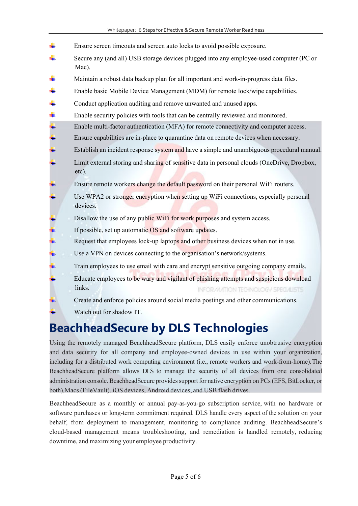- 4. Ensure screen timeouts and screen auto locks to avoid possible exposure. 4 Secure any (and all) USB storage devices plugged into any employee-used computer (PC or Mac).
- J. Maintain a robust data backup plan for all important and work-in-progress data files.
- d. Enable basic Mobile Device Management (MDM) for remote lock/wipe capabilities.
- 4. Conduct application auditing and remove unwanted and unused apps.
- ÷ Enable security policies with tools that can be centrally reviewed and monitored.
- ₩. Enable multi-factor authentication (MFA) for remote connectivity and computer access.
- ¥. Ensure capabilities are in-place to quarantine data on remote devices when necessary.
- g. Establish an incident response system and have a simple and unambiguous procedural manual.
- a. Limit external storing and sharing of sensitive data in personal clouds (OneDrive, Dropbox, etc).
- Ensure remote workers change the default password on their personal WiFi routers.
- Use WPA2 or stronger encryption when setting up WiFi connections, especially personal devices.
- Disallow the use of any public WiFi for work purposes and system access.
- If possible, set up automatic OS and software updates.
- ų, Request that employees lock-up laptops and other business devices when not in use.
- ψ Use a VPN on devices connecting to the organisation's network/systems.
- ¥. Train employees to use email with care and encrypt sensitive outgoing company emails.
- Educate employees to be wary and vigilant of phishing attempts and suspicious download links. INFORMATION TECHNOLOGY SPECIALISTS.
- Ŧ. Create and enforce policies around social media postings and other communications.
	- Watch out for shadow IT.

### **BeachheadSecure by DLS Technologies**

Using the remotely managed BeachheadSecure platform, DLS easily enforce unobtrusive encryption and data security for all company and employee-owned devices in use within your organization, including for a distributed work computing environment (i.e., remote workers and work-from-home). The BeachheadSecure platform allows DLS to manage the security of all devices from one consolidated administration console. BeachheadSecure provides support for native encryption on PCs (EFS, BitLocker, or both), Macs (FileVault), iOS devices, Android devices, and USB flash drives.

BeachheadSecure as a monthly or annual pay-as-you-go subscription service, with no hardware or software purchases or long-term commitment required. DLS handle every aspect of the solution on your behalf, from deployment to management, monitoring to compliance auditing. BeachheadSecure's cloud-based management means troubleshooting, and remediation is handled remotely, reducing downtime, and maximizing your employee productivity.